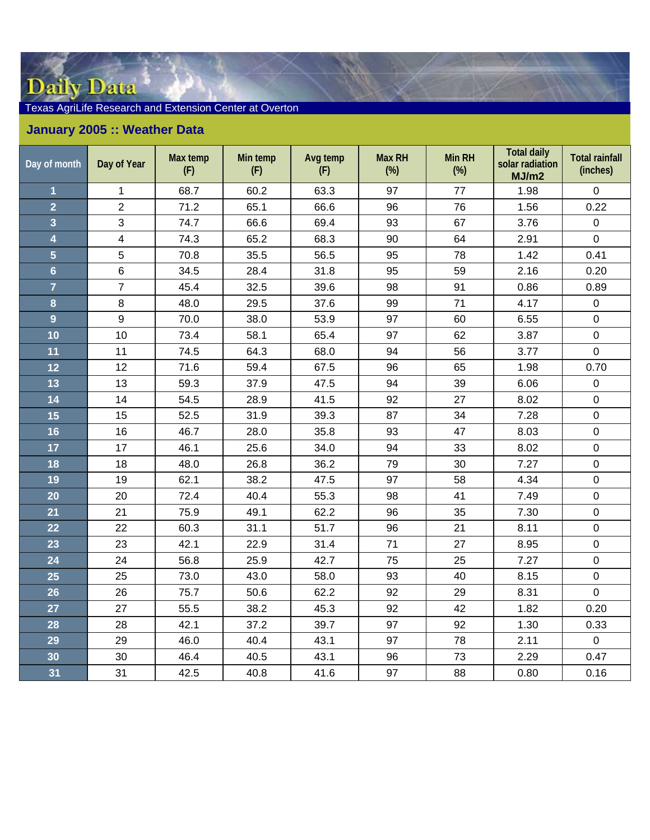## Daily Data

## Texas AgriLife Research and Extension Center at Overton

## **January 2005 :: Weather Data**

| Day of month            | Day of Year    | Max temp<br>(F) | Min temp<br>(F) | Avg temp<br>(F) | <b>Max RH</b><br>$(\%)$ | <b>Min RH</b><br>$(\%)$ | <b>Total daily</b><br>solar radiation<br>MJ/m2 | <b>Total rainfall</b><br>(inches) |
|-------------------------|----------------|-----------------|-----------------|-----------------|-------------------------|-------------------------|------------------------------------------------|-----------------------------------|
| 1                       | $\mathbf 1$    | 68.7            | 60.2            | 63.3            | 97                      | 77                      | 1.98                                           | $\mathbf 0$                       |
| $\overline{2}$          | $\overline{2}$ | 71.2            | 65.1            | 66.6            | 96                      | 76                      | 1.56                                           | 0.22                              |
| $\overline{\mathbf{3}}$ | 3              | 74.7            | 66.6            | 69.4            | 93                      | 67                      | 3.76                                           | $\mathbf 0$                       |
| $\overline{\mathbf{4}}$ | $\overline{4}$ | 74.3            | 65.2            | 68.3            | 90                      | 64                      | 2.91                                           | $\mathbf 0$                       |
| $\overline{5}$          | 5              | 70.8            | 35.5            | 56.5            | 95                      | 78                      | 1.42                                           | 0.41                              |
| $\overline{6}$          | $6\phantom{a}$ | 34.5            | 28.4            | 31.8            | 95                      | 59                      | 2.16                                           | 0.20                              |
| $\overline{7}$          | $\overline{7}$ | 45.4            | 32.5            | 39.6            | 98                      | 91                      | 0.86                                           | 0.89                              |
| 8                       | 8              | 48.0            | 29.5            | 37.6            | 99                      | 71                      | 4.17                                           | $\pmb{0}$                         |
| 9                       | 9              | 70.0            | 38.0            | 53.9            | 97                      | 60                      | 6.55                                           | $\mathbf 0$                       |
| 10                      | 10             | 73.4            | 58.1            | 65.4            | 97                      | 62                      | 3.87                                           | $\mathbf 0$                       |
| 11                      | 11             | 74.5            | 64.3            | 68.0            | 94                      | 56                      | 3.77                                           | $\mathsf 0$                       |
| 12                      | 12             | 71.6            | 59.4            | 67.5            | 96                      | 65                      | 1.98                                           | 0.70                              |
| 13                      | 13             | 59.3            | 37.9            | 47.5            | 94                      | 39                      | 6.06                                           | $\mathbf 0$                       |
| 14                      | 14             | 54.5            | 28.9            | 41.5            | 92                      | 27                      | 8.02                                           | $\pmb{0}$                         |
| 15                      | 15             | 52.5            | 31.9            | 39.3            | 87                      | 34                      | 7.28                                           | $\pmb{0}$                         |
| 16                      | 16             | 46.7            | 28.0            | 35.8            | 93                      | 47                      | 8.03                                           | $\pmb{0}$                         |
| 17                      | 17             | 46.1            | 25.6            | 34.0            | 94                      | 33                      | 8.02                                           | $\pmb{0}$                         |
| 18                      | 18             | 48.0            | 26.8            | 36.2            | 79                      | 30                      | 7.27                                           | $\mathbf 0$                       |
| 19                      | 19             | 62.1            | 38.2            | 47.5            | 97                      | 58                      | 4.34                                           | $\pmb{0}$                         |
| 20                      | 20             | 72.4            | 40.4            | 55.3            | 98                      | 41                      | 7.49                                           | $\pmb{0}$                         |
| 21                      | 21             | 75.9            | 49.1            | 62.2            | 96                      | 35                      | 7.30                                           | $\pmb{0}$                         |
| 22                      | 22             | 60.3            | 31.1            | 51.7            | 96                      | 21                      | 8.11                                           | $\mathbf 0$                       |
| 23                      | 23             | 42.1            | 22.9            | 31.4            | 71                      | 27                      | 8.95                                           | $\boldsymbol{0}$                  |
| 24                      | 24             | 56.8            | 25.9            | 42.7            | 75                      | 25                      | 7.27                                           | $\pmb{0}$                         |
| 25                      | 25             | 73.0            | 43.0            | 58.0            | 93                      | 40                      | 8.15                                           | $\pmb{0}$                         |
| 26                      | 26             | 75.7            | 50.6            | 62.2            | 92                      | 29                      | 8.31                                           | $\mathbf{0}$                      |
| 27                      | 27             | 55.5            | 38.2            | 45.3            | 92                      | 42                      | 1.82                                           | 0.20                              |
| 28                      | 28             | 42.1            | 37.2            | 39.7            | 97                      | 92                      | 1.30                                           | 0.33                              |
| 29                      | 29             | 46.0            | 40.4            | 43.1            | 97                      | 78                      | 2.11                                           | $\mathbf 0$                       |
| 30                      | 30             | 46.4            | 40.5            | 43.1            | 96                      | 73                      | 2.29                                           | 0.47                              |
| 31                      | 31             | 42.5            | 40.8            | 41.6            | 97                      | 88                      | 0.80                                           | 0.16                              |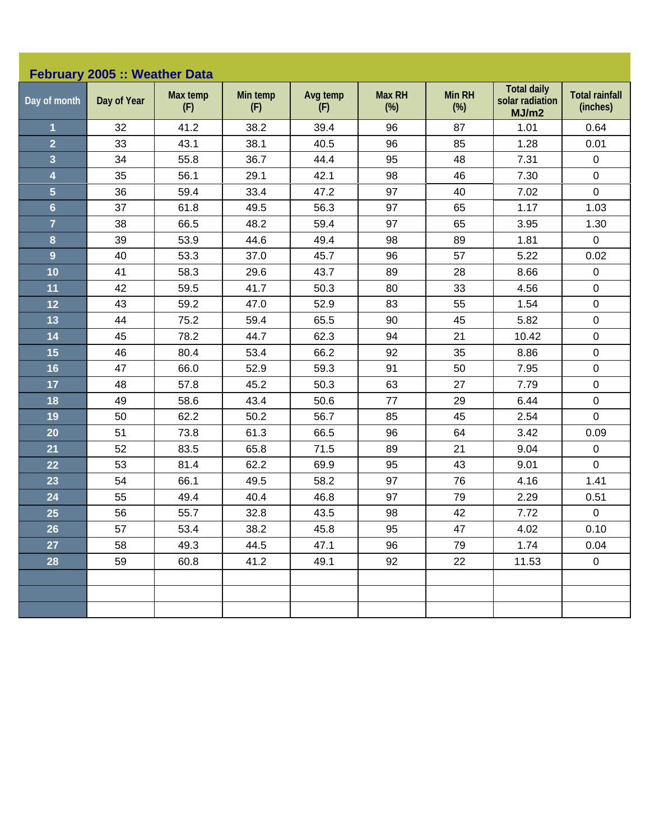|                         | February 2005 :: Weather Data |                 |                 |                 |                         |                         |                                                |                                   |
|-------------------------|-------------------------------|-----------------|-----------------|-----------------|-------------------------|-------------------------|------------------------------------------------|-----------------------------------|
| Day of month            | Day of Year                   | Max temp<br>(F) | Min temp<br>(F) | Avg temp<br>(F) | <b>Max RH</b><br>$(\%)$ | <b>Min RH</b><br>$(\%)$ | <b>Total daily</b><br>solar radiation<br>MJ/m2 | <b>Total rainfall</b><br>(inches) |
| $\mathbf 1$             | 32                            | 41.2            | 38.2            | 39.4            | 96                      | 87                      | 1.01                                           | 0.64                              |
| $\overline{2}$          | 33                            | 43.1            | 38.1            | 40.5            | 96                      | 85                      | 1.28                                           | 0.01                              |
| 3                       | 34                            | 55.8            | 36.7            | 44.4            | 95                      | 48                      | 7.31                                           | $\pmb{0}$                         |
| 4                       | 35                            | 56.1            | 29.1            | 42.1            | 98                      | 46                      | 7.30                                           | $\pmb{0}$                         |
| $\overline{\mathbf{5}}$ | 36                            | 59.4            | 33.4            | 47.2            | 97                      | 40                      | 7.02                                           | $\mathbf 0$                       |
| $6\phantom{a}$          | 37                            | 61.8            | 49.5            | 56.3            | 97                      | 65                      | 1.17                                           | 1.03                              |
| $\overline{7}$          | 38                            | 66.5            | 48.2            | 59.4            | 97                      | 65                      | 3.95                                           | 1.30                              |
| 8                       | 39                            | 53.9            | 44.6            | 49.4            | 98                      | 89                      | 1.81                                           | $\pmb{0}$                         |
| $\overline{9}$          | 40                            | 53.3            | 37.0            | 45.7            | 96                      | 57                      | 5.22                                           | 0.02                              |
| 10                      | 41                            | 58.3            | 29.6            | 43.7            | 89                      | 28                      | 8.66                                           | $\pmb{0}$                         |
| 11                      | 42                            | 59.5            | 41.7            | 50.3            | 80                      | 33                      | 4.56                                           | $\pmb{0}$                         |
| 12                      | 43                            | 59.2            | 47.0            | 52.9            | 83                      | 55                      | 1.54                                           | $\pmb{0}$                         |
| 13                      | 44                            | 75.2            | 59.4            | 65.5            | 90                      | 45                      | 5.82                                           | $\pmb{0}$                         |
| 14                      | 45                            | 78.2            | 44.7            | 62.3            | 94                      | 21                      | 10.42                                          | $\pmb{0}$                         |
| 15                      | 46                            | 80.4            | 53.4            | 66.2            | 92                      | 35                      | 8.86                                           | $\mathbf 0$                       |
| 16                      | 47                            | 66.0            | 52.9            | 59.3            | 91                      | 50                      | 7.95                                           | $\pmb{0}$                         |
| 17                      | 48                            | 57.8            | 45.2            | 50.3            | 63                      | 27                      | 7.79                                           | $\pmb{0}$                         |
| 18                      | 49                            | 58.6            | 43.4            | 50.6            | 77                      | 29                      | 6.44                                           | $\pmb{0}$                         |
| 19                      | 50                            | 62.2            | 50.2            | 56.7            | 85                      | 45                      | 2.54                                           | $\mathbf 0$                       |
| 20                      | 51                            | 73.8            | 61.3            | 66.5            | 96                      | 64                      | 3.42                                           | 0.09                              |
| 21                      | 52                            | 83.5            | 65.8            | 71.5            | 89                      | 21                      | 9.04                                           | $\pmb{0}$                         |
| 22                      | 53                            | 81.4            | 62.2            | 69.9            | 95                      | 43                      | 9.01                                           | $\mathbf 0$                       |
| 23                      | 54                            | 66.1            | 49.5            | 58.2            | 97                      | 76                      | 4.16                                           | 1.41                              |
| 24                      | 55                            | 49.4            | 40.4            | 46.8            | 97                      | 79                      | 2.29                                           | 0.51                              |
| 25                      | 56                            | 55.7            | 32.8            | 43.5            | 98                      | 42                      | 7.72                                           | $\pmb{0}$                         |
| 26                      | 57                            | 53.4            | 38.2            | 45.8            | 95                      | 47                      | 4.02                                           | 0.10                              |
| 27                      | 58                            | 49.3            | 44.5            | 47.1            | 96                      | 79                      | 1.74                                           | 0.04                              |
| 28                      | 59                            | 60.8            | 41.2            | 49.1            | 92                      | 22                      | 11.53                                          | $\mathbf 0$                       |
|                         |                               |                 |                 |                 |                         |                         |                                                |                                   |
|                         |                               |                 |                 |                 |                         |                         |                                                |                                   |
|                         |                               |                 |                 |                 |                         |                         |                                                |                                   |
|                         |                               |                 |                 |                 |                         |                         |                                                |                                   |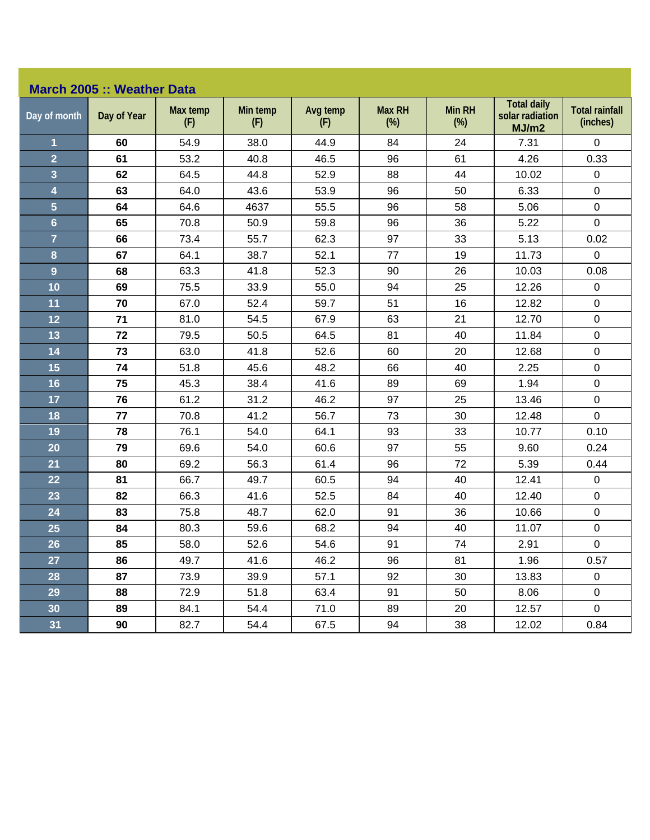## **March 2005 :: Weather Data**

| Day of month            | Day of Year | Max temp<br>(F) | Min temp<br>(F) | Avg temp<br>(F) | <b>Max RH</b><br>$(\%)$ | Min RH<br>$(\%)$ | <b>Total daily</b><br>solar radiation<br>MJ/m2 | <b>Total rainfall</b><br>(inches) |
|-------------------------|-------------|-----------------|-----------------|-----------------|-------------------------|------------------|------------------------------------------------|-----------------------------------|
| 1                       | 60          | 54.9            | 38.0            | 44.9            | 84                      | 24               | 7.31                                           | $\overline{0}$                    |
| $\overline{2}$          | 61          | 53.2            | 40.8            | 46.5            | 96                      | 61               | 4.26                                           | 0.33                              |
| $\overline{\mathbf{3}}$ | 62          | 64.5            | 44.8            | 52.9            | 88                      | 44               | 10.02                                          | $\mathbf 0$                       |
| $\overline{\mathbf{4}}$ | 63          | 64.0            | 43.6            | 53.9            | 96                      | 50               | 6.33                                           | $\mathbf 0$                       |
| $\overline{\mathbf{5}}$ | 64          | 64.6            | 4637            | 55.5            | 96                      | 58               | 5.06                                           | $\pmb{0}$                         |
| $6\phantom{1}$          | 65          | 70.8            | 50.9            | 59.8            | 96                      | 36               | 5.22                                           | $\mathbf 0$                       |
| $\overline{7}$          | 66          | 73.4            | 55.7            | 62.3            | 97                      | 33               | 5.13                                           | 0.02                              |
| $\bf{8}$                | 67          | 64.1            | 38.7            | 52.1            | 77                      | 19               | 11.73                                          | $\pmb{0}$                         |
| $\overline{9}$          | 68          | 63.3            | 41.8            | 52.3            | 90                      | 26               | 10.03                                          | 0.08                              |
| 10                      | 69          | 75.5            | 33.9            | 55.0            | 94                      | 25               | 12.26                                          | $\pmb{0}$                         |
| 11                      | 70          | 67.0            | 52.4            | 59.7            | 51                      | 16               | 12.82                                          | $\mathbf 0$                       |
| 12                      | 71          | 81.0            | 54.5            | 67.9            | 63                      | 21               | 12.70                                          | $\mathsf 0$                       |
| 13                      | 72          | 79.5            | 50.5            | 64.5            | 81                      | 40               | 11.84                                          | $\pmb{0}$                         |
| 14                      | 73          | 63.0            | 41.8            | 52.6            | 60                      | 20               | 12.68                                          | $\pmb{0}$                         |
| 15                      | 74          | 51.8            | 45.6            | 48.2            | 66                      | 40               | 2.25                                           | $\pmb{0}$                         |
| 16                      | 75          | 45.3            | 38.4            | 41.6            | 89                      | 69               | 1.94                                           | $\pmb{0}$                         |
| 17                      | 76          | 61.2            | 31.2            | 46.2            | 97                      | 25               | 13.46                                          | $\mathbf 0$                       |
| 18                      | 77          | 70.8            | 41.2            | 56.7            | 73                      | 30               | 12.48                                          | $\mathsf 0$                       |
| 19                      | 78          | 76.1            | 54.0            | 64.1            | 93                      | 33               | 10.77                                          | 0.10                              |
| 20                      | 79          | 69.6            | 54.0            | 60.6            | 97                      | 55               | 9.60                                           | 0.24                              |
| 21                      | 80          | 69.2            | 56.3            | 61.4            | 96                      | 72               | 5.39                                           | 0.44                              |
| 22                      | 81          | 66.7            | 49.7            | 60.5            | 94                      | 40               | 12.41                                          | $\pmb{0}$                         |
| 23                      | 82          | 66.3            | 41.6            | 52.5            | 84                      | 40               | 12.40                                          | $\pmb{0}$                         |
| 24                      | 83          | 75.8            | 48.7            | 62.0            | 91                      | 36               | 10.66                                          | $\pmb{0}$                         |
| 25                      | 84          | 80.3            | 59.6            | 68.2            | 94                      | 40               | 11.07                                          | 0                                 |
| 26                      | 85          | 58.0            | 52.6            | 54.6            | 91                      | 74               | 2.91                                           | $\pmb{0}$                         |
| 27                      | 86          | 49.7            | 41.6            | 46.2            | 96                      | 81               | 1.96                                           | 0.57                              |
| 28                      | 87          | 73.9            | 39.9            | 57.1            | 92                      | 30               | 13.83                                          | $\pmb{0}$                         |
| 29                      | 88          | 72.9            | 51.8            | 63.4            | 91                      | 50               | 8.06                                           | $\pmb{0}$                         |
| 30                      | 89          | 84.1            | 54.4            | 71.0            | 89                      | 20               | 12.57                                          | $\mathbf 0$                       |
| 31                      | 90          | 82.7            | 54.4            | 67.5            | 94                      | 38               | 12.02                                          | 0.84                              |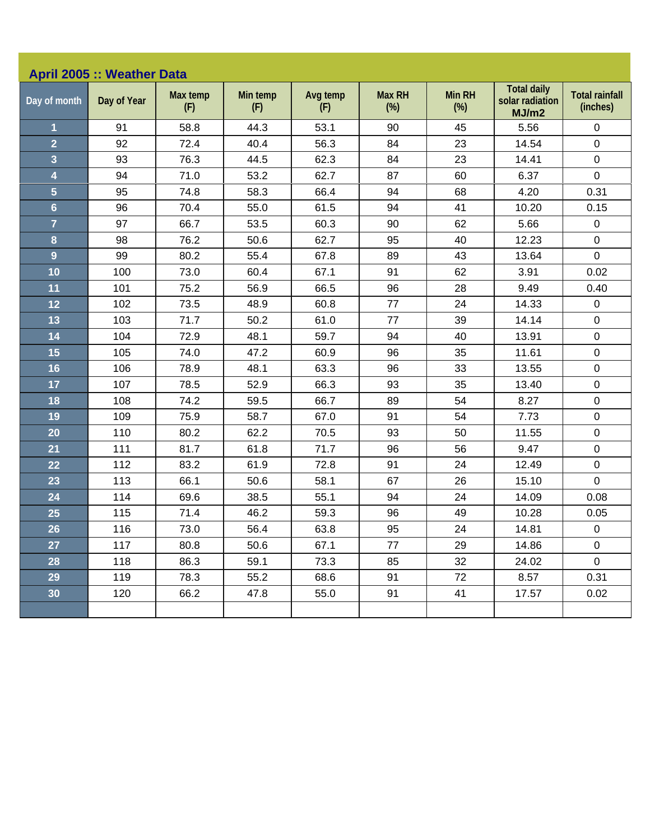| Day of month     | Day of Year | Max temp<br>(F) | Min temp<br>(F) | Avg temp<br>(F) | <b>Max RH</b><br>(%) | <b>Min RH</b><br>$(\%)$ | <b>Total daily</b><br>solar radiation<br>MJ/m2 | <b>Total rainfall</b><br>(inches) |
|------------------|-------------|-----------------|-----------------|-----------------|----------------------|-------------------------|------------------------------------------------|-----------------------------------|
| $\overline{1}$   | 91          | 58.8            | 44.3            | 53.1            | 90                   | 45                      | 5.56                                           | 0                                 |
| $\overline{2}$   | 92          | 72.4            | 40.4            | 56.3            | 84                   | 23                      | 14.54                                          | 0                                 |
| 3                | 93          | 76.3            | 44.5            | 62.3            | 84                   | 23                      | 14.41                                          | 0                                 |
| 4                | 94          | 71.0            | 53.2            | 62.7            | 87                   | 60                      | 6.37                                           | $\mathbf 0$                       |
| $\overline{5}$   | 95          | 74.8            | 58.3            | 66.4            | 94                   | 68                      | 4.20                                           | 0.31                              |
| $6\phantom{a}$   | 96          | 70.4            | 55.0            | 61.5            | 94                   | 41                      | 10.20                                          | 0.15                              |
| $\overline{7}$   | 97          | 66.7            | 53.5            | 60.3            | 90                   | 62                      | 5.66                                           | $\mathbf 0$                       |
| $\boldsymbol{8}$ | 98          | 76.2            | 50.6            | 62.7            | 95                   | 40                      | 12.23                                          | 0                                 |
| 9                | 99          | 80.2            | 55.4            | 67.8            | 89                   | 43                      | 13.64                                          | 0                                 |
| 10               | 100         | 73.0            | 60.4            | 67.1            | 91                   | 62                      | 3.91                                           | 0.02                              |
| 11               | 101         | 75.2            | 56.9            | 66.5            | 96                   | 28                      | 9.49                                           | 0.40                              |
| 12               | 102         | 73.5            | 48.9            | 60.8            | 77                   | 24                      | 14.33                                          | $\mathbf 0$                       |
| 13               | 103         | 71.7            | 50.2            | 61.0            | 77                   | 39                      | 14.14                                          | 0                                 |
| 14               | 104         | 72.9            | 48.1            | 59.7            | 94                   | 40                      | 13.91                                          | 0                                 |
| 15               | 105         | 74.0            | 47.2            | 60.9            | 96                   | 35                      | 11.61                                          | 0                                 |
| 16               | 106         | 78.9            | 48.1            | 63.3            | 96                   | 33                      | 13.55                                          | 0                                 |
| 17               | 107         | 78.5            | 52.9            | 66.3            | 93                   | 35                      | 13.40                                          | 0                                 |
| 18               | 108         | 74.2            | 59.5            | 66.7            | 89                   | 54                      | 8.27                                           | 0                                 |
| 19               | 109         | 75.9            | 58.7            | 67.0            | 91                   | 54                      | 7.73                                           | 0                                 |
| 20               | 110         | 80.2            | 62.2            | 70.5            | 93                   | 50                      | 11.55                                          | $\mathbf 0$                       |
| 21               | 111         | 81.7            | 61.8            | 71.7            | 96                   | 56                      | 9.47                                           | 0                                 |
| 22               | 112         | 83.2            | 61.9            | 72.8            | 91                   | 24                      | 12.49                                          | $\mathsf 0$                       |
| 23               | 113         | 66.1            | 50.6            | 58.1            | 67                   | 26                      | 15.10                                          | $\mathbf 0$                       |
| 24               | 114         | 69.6            | 38.5            | 55.1            | 94                   | 24                      | 14.09                                          | 0.08                              |
| 25               | 115         | 71.4            | 46.2            | 59.3            | 96                   | 49                      | 10.28                                          | 0.05                              |
| 26               | 116         | 73.0            | 56.4            | 63.8            | 95                   | 24                      | 14.81                                          | 0                                 |
| 27               | 117         | 80.8            | 50.6            | 67.1            | 77                   | 29                      | 14.86                                          | $\mathbf 0$                       |
| 28               | 118         | 86.3            | 59.1            | 73.3            | 85                   | 32                      | 24.02                                          | $\overline{0}$                    |
| 29               | 119         | 78.3            | 55.2            | 68.6            | 91                   | 72                      | 8.57                                           | 0.31                              |
| 30               | 120         | 66.2            | 47.8            | 55.0            | 91                   | 41                      | 17.57                                          | 0.02                              |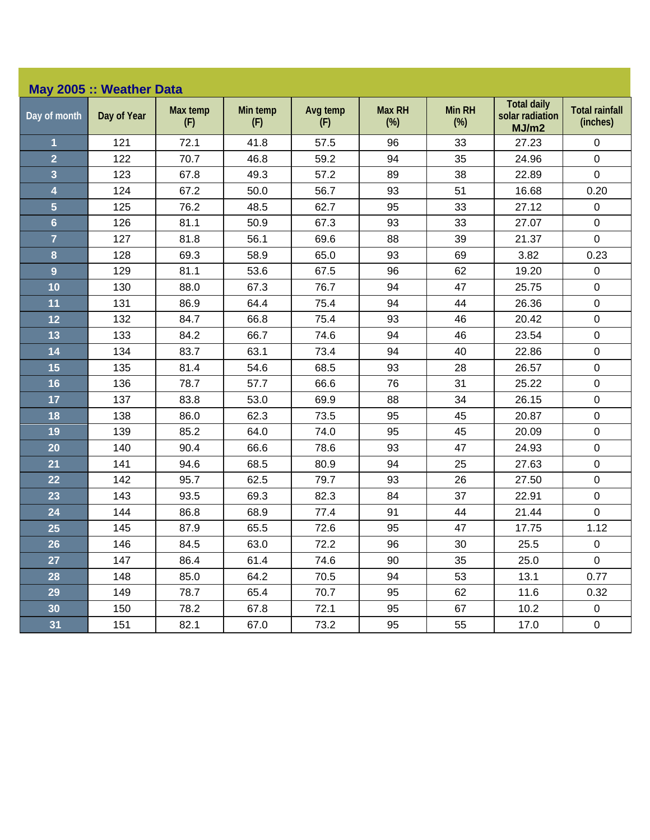|                | May 2005 :: Weather Data |                 |                 |                 |                         |                         |                                                |                                   |
|----------------|--------------------------|-----------------|-----------------|-----------------|-------------------------|-------------------------|------------------------------------------------|-----------------------------------|
| Day of month   | Day of Year              | Max temp<br>(F) | Min temp<br>(F) | Avg temp<br>(F) | <b>Max RH</b><br>$(\%)$ | <b>Min RH</b><br>$(\%)$ | <b>Total daily</b><br>solar radiation<br>MJ/m2 | <b>Total rainfall</b><br>(inches) |
| 1              | 121                      | 72.1            | 41.8            | 57.5            | 96                      | 33                      | 27.23                                          | 0                                 |
| $\overline{2}$ | 122                      | 70.7            | 46.8            | 59.2            | 94                      | 35                      | 24.96                                          | $\pmb{0}$                         |
| 3              | 123                      | 67.8            | 49.3            | 57.2            | 89                      | 38                      | 22.89                                          | $\mathbf 0$                       |
| 4              | 124                      | 67.2            | 50.0            | 56.7            | 93                      | 51                      | 16.68                                          | 0.20                              |
| 5              | 125                      | 76.2            | 48.5            | 62.7            | 95                      | 33                      | 27.12                                          | $\pmb{0}$                         |
| $6\phantom{a}$ | 126                      | 81.1            | 50.9            | 67.3            | 93                      | 33                      | 27.07                                          | $\pmb{0}$                         |
| $\overline{7}$ | 127                      | 81.8            | 56.1            | 69.6            | 88                      | 39                      | 21.37                                          | $\mathbf 0$                       |
| 8              | 128                      | 69.3            | 58.9            | 65.0            | 93                      | 69                      | 3.82                                           | 0.23                              |
| $\overline{9}$ | 129                      | 81.1            | 53.6            | 67.5            | 96                      | 62                      | 19.20                                          | $\boldsymbol{0}$                  |
| 10             | 130                      | 88.0            | 67.3            | 76.7            | 94                      | 47                      | 25.75                                          | $\mathsf 0$                       |
| 11             | 131                      | 86.9            | 64.4            | 75.4            | 94                      | 44                      | 26.36                                          | $\boldsymbol{0}$                  |
| 12             | 132                      | 84.7            | 66.8            | 75.4            | 93                      | 46                      | 20.42                                          | $\pmb{0}$                         |
| 13             | 133                      | 84.2            | 66.7            | 74.6            | 94                      | 46                      | 23.54                                          | $\boldsymbol{0}$                  |
| 14             | 134                      | 83.7            | 63.1            | 73.4            | 94                      | 40                      | 22.86                                          | $\pmb{0}$                         |
| 15             | 135                      | 81.4            | 54.6            | 68.5            | 93                      | 28                      | 26.57                                          | $\mathbf 0$                       |
| 16             | 136                      | 78.7            | 57.7            | 66.6            | 76                      | 31                      | 25.22                                          | $\boldsymbol{0}$                  |
| 17             | 137                      | 83.8            | 53.0            | 69.9            | 88                      | 34                      | 26.15                                          | $\pmb{0}$                         |
| 18             | 138                      | 86.0            | 62.3            | 73.5            | 95                      | 45                      | 20.87                                          | $\pmb{0}$                         |
| 19             | 139                      | 85.2            | 64.0            | 74.0            | 95                      | 45                      | 20.09                                          | $\boldsymbol{0}$                  |
| 20             | 140                      | 90.4            | 66.6            | 78.6            | 93                      | 47                      | 24.93                                          | $\pmb{0}$                         |
| 21             | 141                      | 94.6            | 68.5            | 80.9            | 94                      | 25                      | 27.63                                          | $\pmb{0}$                         |
| 22             | 142                      | 95.7            | 62.5            | 79.7            | 93                      | 26                      | 27.50                                          | $\pmb{0}$                         |
| 23             | 143                      | 93.5            | 69.3            | 82.3            | 84                      | 37                      | 22.91                                          | $\pmb{0}$                         |
| 24             | 144                      | 86.8            | 68.9            | 77.4            | 91                      | 44                      | 21.44                                          | 0                                 |
| 25             | 145                      | 87.9            | 65.5            | 72.6            | 95                      | 47                      | 17.75                                          | 1.12                              |
| 26             | 146                      | 84.5            | 63.0            | 72.2            | 96                      | $30\,$                  | 25.5                                           | $\boldsymbol{0}$                  |
| 27             | 147                      | 86.4            | 61.4            | 74.6            | 90                      | 35                      | 25.0                                           | $\mathbf 0$                       |
| 28             | 148                      | 85.0            | 64.2            | 70.5            | 94                      | 53                      | 13.1                                           | 0.77                              |
| 29             | 149                      | 78.7            | 65.4            | 70.7            | 95                      | 62                      | 11.6                                           | 0.32                              |
| 30             | 150                      | 78.2            | 67.8            | 72.1            | 95                      | 67                      | 10.2                                           | $\overline{0}$                    |
| 31             | 151                      | 82.1            | 67.0            | 73.2            | 95                      | 55                      | 17.0                                           | $\mathbf 0$                       |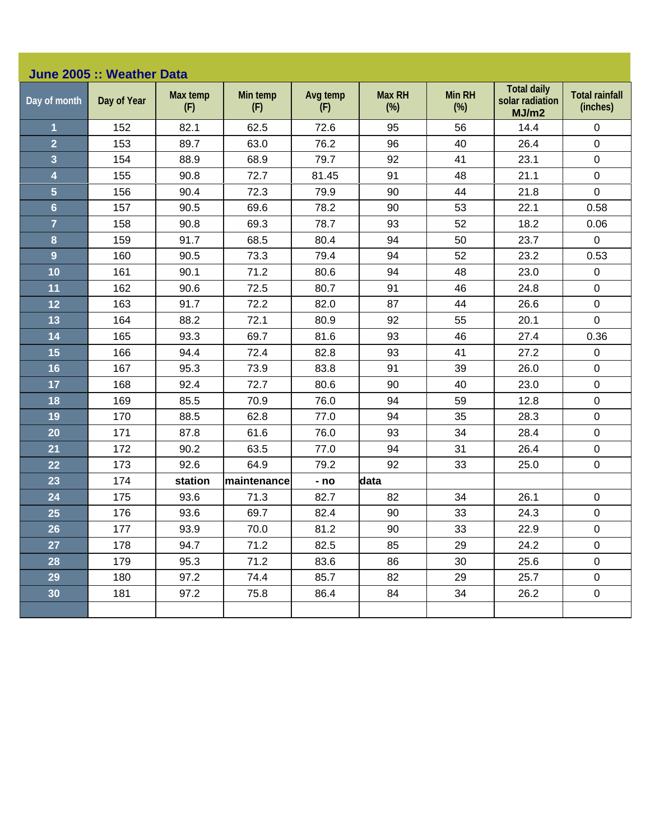| June 2005 :: Weather Data |             |                 |                 |                 |                         |                         |                                                |                                   |  |  |
|---------------------------|-------------|-----------------|-----------------|-----------------|-------------------------|-------------------------|------------------------------------------------|-----------------------------------|--|--|
| Day of month              | Day of Year | Max temp<br>(F) | Min temp<br>(F) | Avg temp<br>(F) | <b>Max RH</b><br>$(\%)$ | <b>Min RH</b><br>$(\%)$ | <b>Total daily</b><br>solar radiation<br>MJ/m2 | <b>Total rainfall</b><br>(inches) |  |  |
| 1                         | 152         | 82.1            | 62.5            | 72.6            | 95                      | 56                      | 14.4                                           | $\pmb{0}$                         |  |  |
| $\overline{2}$            | 153         | 89.7            | 63.0            | 76.2            | 96                      | 40                      | 26.4                                           | $\mathbf 0$                       |  |  |
| 3                         | 154         | 88.9            | 68.9            | 79.7            | 92                      | 41                      | 23.1                                           | $\pmb{0}$                         |  |  |
| 4                         | 155         | 90.8            | 72.7            | 81.45           | 91                      | 48                      | 21.1                                           | $\mathsf 0$                       |  |  |
| 5                         | 156         | 90.4            | 72.3            | 79.9            | 90                      | 44                      | 21.8                                           | $\mathbf 0$                       |  |  |
| $6\phantom{a}$            | 157         | 90.5            | 69.6            | 78.2            | 90                      | 53                      | 22.1                                           | 0.58                              |  |  |
| $\overline{7}$            | 158         | 90.8            | 69.3            | 78.7            | 93                      | 52                      | 18.2                                           | 0.06                              |  |  |
| 8                         | 159         | 91.7            | 68.5            | 80.4            | 94                      | 50                      | 23.7                                           | 0                                 |  |  |
| 9                         | 160         | 90.5            | 73.3            | 79.4            | 94                      | 52                      | 23.2                                           | 0.53                              |  |  |
| 10                        | 161         | 90.1            | 71.2            | 80.6            | 94                      | 48                      | 23.0                                           | $\pmb{0}$                         |  |  |
| 11                        | 162         | 90.6            | 72.5            | 80.7            | 91                      | 46                      | 24.8                                           | $\mathsf 0$                       |  |  |
| 12                        | 163         | 91.7            | 72.2            | 82.0            | 87                      | 44                      | 26.6                                           | $\mathsf 0$                       |  |  |
| 13                        | 164         | 88.2            | 72.1            | 80.9            | 92                      | 55                      | 20.1                                           | $\mathbf 0$                       |  |  |
| 14                        | 165         | 93.3            | 69.7            | 81.6            | 93                      | 46                      | 27.4                                           | 0.36                              |  |  |
| 15                        | 166         | 94.4            | 72.4            | 82.8            | 93                      | 41                      | 27.2                                           | $\pmb{0}$                         |  |  |
| 16                        | 167         | 95.3            | 73.9            | 83.8            | 91                      | 39                      | 26.0                                           | $\pmb{0}$                         |  |  |
| 17                        | 168         | 92.4            | 72.7            | 80.6            | 90                      | 40                      | 23.0                                           | $\pmb{0}$                         |  |  |
| 18                        | 169         | 85.5            | 70.9            | 76.0            | 94                      | 59                      | 12.8                                           | $\pmb{0}$                         |  |  |
| 19                        | 170         | 88.5            | 62.8            | 77.0            | 94                      | 35                      | 28.3                                           | $\pmb{0}$                         |  |  |
| 20                        | 171         | 87.8            | 61.6            | 76.0            | 93                      | 34                      | 28.4                                           | $\pmb{0}$                         |  |  |
| 21                        | 172         | 90.2            | 63.5            | 77.0            | 94                      | 31                      | 26.4                                           | $\pmb{0}$                         |  |  |
| 22                        | 173         | 92.6            | 64.9            | 79.2            | 92                      | 33                      | 25.0                                           | $\pmb{0}$                         |  |  |
| 23                        | 174         | station         | maintenance     | - no            | data                    |                         |                                                |                                   |  |  |
| 24                        | 175         | 93.6            | 71.3            | 82.7            | 82                      | 34                      | 26.1                                           | $\mathbf 0$                       |  |  |
| 25                        | 176         | 93.6            | 69.7            | 82.4            | 90                      | 33                      | 24.3                                           | 0                                 |  |  |
| 26                        | 177         | 93.9            | 70.0            | 81.2            | 90                      | 33                      | 22.9                                           | $\pmb{0}$                         |  |  |
| 27                        | 178         | 94.7            | 71.2            | 82.5            | 85                      | 29                      | 24.2                                           | $\mathbf 0$                       |  |  |
| 28                        | 179         | 95.3            | 71.2            | 83.6            | 86                      | 30                      | 25.6                                           | $\mathbf 0$                       |  |  |
| 29                        | 180         | 97.2            | 74.4            | 85.7            | 82                      | 29                      | 25.7                                           | 0                                 |  |  |
| 30 <sub>o</sub>           | 181         | 97.2            | 75.8            | 86.4            | 84                      | 34                      | 26.2                                           | $\pmb{0}$                         |  |  |
|                           |             |                 |                 |                 |                         |                         |                                                |                                   |  |  |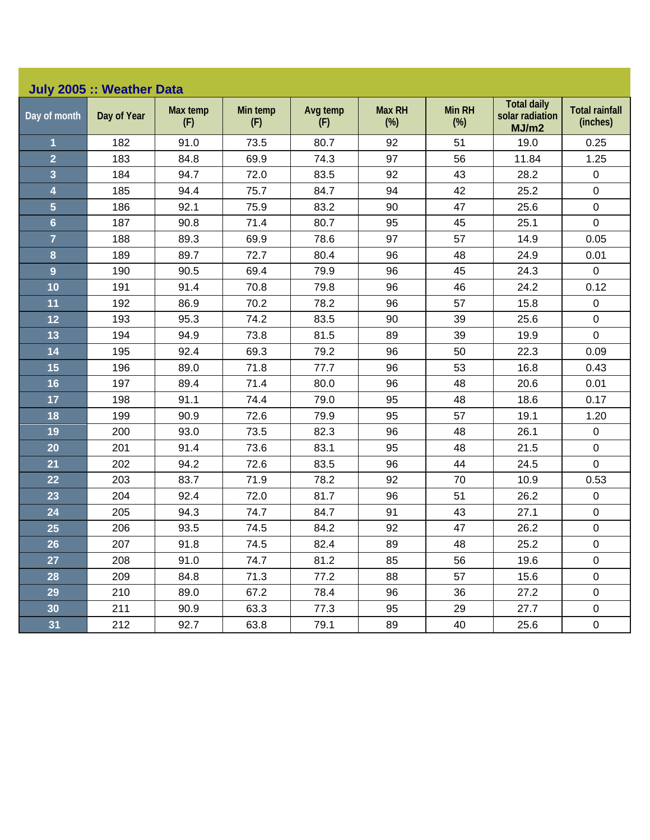| Day of month            | Day of Year | Max temp<br>(F) | Min temp<br>(F) | Avg temp<br>(F) | <b>Max RH</b><br>$(\%)$ | <b>Min RH</b><br>$(\%)$ | <b>Total daily</b><br>solar radiation<br>MJ/m2 | <b>Total rainfall</b><br>(inches) |
|-------------------------|-------------|-----------------|-----------------|-----------------|-------------------------|-------------------------|------------------------------------------------|-----------------------------------|
| $\overline{\mathbf{1}}$ | 182         | 91.0            | 73.5            | 80.7            | 92                      | 51                      | 19.0                                           | 0.25                              |
| $\overline{2}$          | 183         | 84.8            | 69.9            | 74.3            | 97                      | 56                      | 11.84                                          | 1.25                              |
| $\overline{\mathbf{3}}$ | 184         | 94.7            | 72.0            | 83.5            | 92                      | 43                      | 28.2                                           | $\pmb{0}$                         |
| $\overline{\mathbf{4}}$ | 185         | 94.4            | 75.7            | 84.7            | 94                      | 42                      | 25.2                                           | $\pmb{0}$                         |
| $5\overline{)}$         | 186         | 92.1            | 75.9            | 83.2            | 90                      | 47                      | 25.6                                           | $\pmb{0}$                         |
| $6\phantom{a}$          | 187         | 90.8            | 71.4            | 80.7            | 95                      | 45                      | 25.1                                           | $\overline{0}$                    |
| $\overline{7}$          | 188         | 89.3            | 69.9            | 78.6            | 97                      | 57                      | 14.9                                           | 0.05                              |
| 8                       | 189         | 89.7            | 72.7            | 80.4            | 96                      | 48                      | 24.9                                           | 0.01                              |
| $\overline{9}$          | 190         | 90.5            | 69.4            | 79.9            | 96                      | 45                      | 24.3                                           | $\pmb{0}$                         |
| 10                      | 191         | 91.4            | 70.8            | 79.8            | 96                      | 46                      | 24.2                                           | 0.12                              |
| 11                      | 192         | 86.9            | 70.2            | 78.2            | 96                      | 57                      | 15.8                                           | $\pmb{0}$                         |
| 12                      | 193         | 95.3            | 74.2            | 83.5            | 90                      | 39                      | 25.6                                           | $\pmb{0}$                         |
| 13                      | 194         | 94.9            | 73.8            | 81.5            | 89                      | 39                      | 19.9                                           | $\mathbf 0$                       |
| 14                      | 195         | 92.4            | 69.3            | 79.2            | 96                      | 50                      | 22.3                                           | 0.09                              |
| 15                      | 196         | 89.0            | 71.8            | 77.7            | 96                      | 53                      | 16.8                                           | 0.43                              |
| 16                      | 197         | 89.4            | 71.4            | 80.0            | 96                      | 48                      | 20.6                                           | 0.01                              |
| 17                      | 198         | 91.1            | 74.4            | 79.0            | 95                      | 48                      | 18.6                                           | 0.17                              |
| 18                      | 199         | 90.9            | 72.6            | 79.9            | 95                      | 57                      | 19.1                                           | 1.20                              |
| 19                      | 200         | 93.0            | 73.5            | 82.3            | 96                      | 48                      | 26.1                                           | $\pmb{0}$                         |
| 20                      | 201         | 91.4            | 73.6            | 83.1            | 95                      | 48                      | 21.5                                           | $\pmb{0}$                         |
| 21                      | 202         | 94.2            | 72.6            | 83.5            | 96                      | 44                      | 24.5                                           | $\mathbf 0$                       |
| 22                      | 203         | 83.7            | 71.9            | 78.2            | 92                      | 70                      | 10.9                                           | 0.53                              |
| 23                      | 204         | 92.4            | 72.0            | 81.7            | 96                      | 51                      | 26.2                                           | $\mathsf 0$                       |
| 24                      | 205         | 94.3            | 74.7            | 84.7            | 91                      | 43                      | 27.1                                           | $\mathbf 0$                       |
| 25                      | 206         | 93.5            | 74.5            | 84.2            | 92                      | 47                      | 26.2                                           | $\pmb{0}$                         |
| 26                      | 207         | 91.8            | 74.5            | 82.4            | 89                      | 48                      | 25.2                                           | $\pmb{0}$                         |
| 27                      | 208         | 91.0            | 74.7            | 81.2            | 85                      | 56                      | 19.6                                           | $\pmb{0}$                         |
| 28                      | 209         | 84.8            | 71.3            | 77.2            | 88                      | 57                      | 15.6                                           | $\mathbf 0$                       |
| 29                      | 210         | 89.0            | 67.2            | 78.4            | 96                      | 36                      | 27.2                                           | $\mathbf 0$                       |
| 30                      | 211         | 90.9            | 63.3            | 77.3            | 95                      | 29                      | 27.7                                           | $\mathbf 0$                       |
| 31                      | 212         | 92.7            | 63.8            | 79.1            | 89                      | 40                      | 25.6                                           | $\mathbf 0$                       |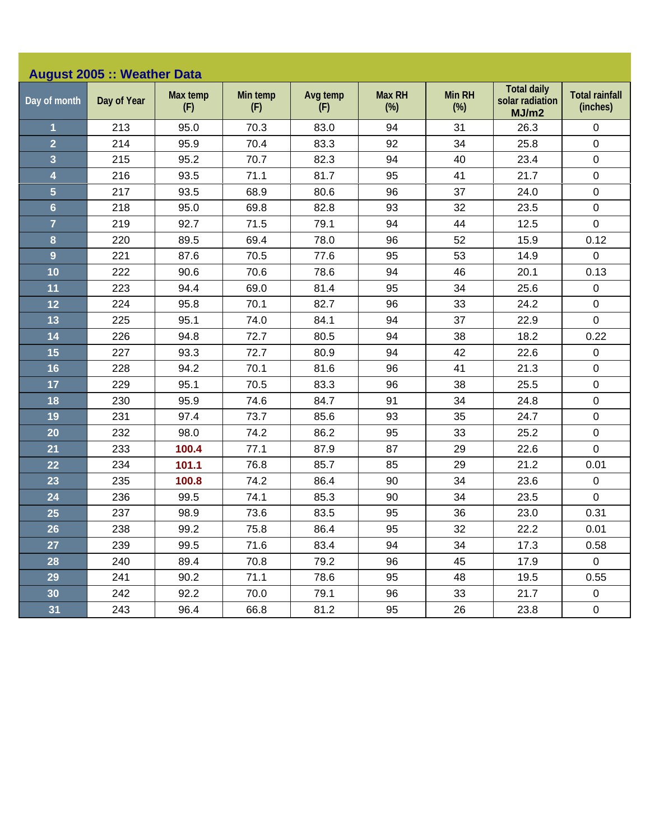| <b>August 2005 :: Weather Data</b> |             |                 |                 |                 |                         |                         |                                                |                                   |  |
|------------------------------------|-------------|-----------------|-----------------|-----------------|-------------------------|-------------------------|------------------------------------------------|-----------------------------------|--|
| Day of month                       | Day of Year | Max temp<br>(F) | Min temp<br>(F) | Avg temp<br>(F) | <b>Max RH</b><br>$(\%)$ | <b>Min RH</b><br>$(\%)$ | <b>Total daily</b><br>solar radiation<br>MJ/m2 | <b>Total rainfall</b><br>(inches) |  |
| $\mathbf{1}$                       | 213         | 95.0            | 70.3            | 83.0            | 94                      | 31                      | 26.3                                           | $\pmb{0}$                         |  |
| $\overline{2}$                     | 214         | 95.9            | 70.4            | 83.3            | 92                      | 34                      | 25.8                                           | $\pmb{0}$                         |  |
| 3                                  | 215         | 95.2            | 70.7            | 82.3            | 94                      | 40                      | 23.4                                           | $\pmb{0}$                         |  |
| $\overline{\mathbf{4}}$            | 216         | 93.5            | 71.1            | 81.7            | 95                      | 41                      | 21.7                                           | $\pmb{0}$                         |  |
| $\overline{5}$                     | 217         | 93.5            | 68.9            | 80.6            | 96                      | 37                      | 24.0                                           | $\pmb{0}$                         |  |
| $6\phantom{a}$                     | 218         | 95.0            | 69.8            | 82.8            | 93                      | 32                      | 23.5                                           | $\pmb{0}$                         |  |
| $\overline{7}$                     | 219         | 92.7            | 71.5            | 79.1            | 94                      | 44                      | 12.5                                           | $\mathbf 0$                       |  |
| 8                                  | 220         | 89.5            | 69.4            | 78.0            | 96                      | 52                      | 15.9                                           | 0.12                              |  |
| $\overline{9}$                     | 221         | 87.6            | 70.5            | 77.6            | 95                      | 53                      | 14.9                                           | $\mathbf 0$                       |  |
| 10                                 | 222         | 90.6            | 70.6            | 78.6            | 94                      | 46                      | 20.1                                           | 0.13                              |  |
| 11                                 | 223         | 94.4            | 69.0            | 81.4            | 95                      | 34                      | 25.6                                           | $\pmb{0}$                         |  |
| 12                                 | 224         | 95.8            | 70.1            | 82.7            | 96                      | 33                      | 24.2                                           | $\pmb{0}$                         |  |
| 13                                 | 225         | 95.1            | 74.0            | 84.1            | 94                      | 37                      | 22.9                                           | $\mathbf 0$                       |  |
| 14                                 | 226         | 94.8            | 72.7            | 80.5            | 94                      | 38                      | 18.2                                           | 0.22                              |  |
| 15                                 | 227         | 93.3            | 72.7            | 80.9            | 94                      | 42                      | 22.6                                           | $\pmb{0}$                         |  |
| 16                                 | 228         | 94.2            | 70.1            | 81.6            | 96                      | 41                      | 21.3                                           | $\pmb{0}$                         |  |
| 17                                 | 229         | 95.1            | 70.5            | 83.3            | 96                      | 38                      | 25.5                                           | $\pmb{0}$                         |  |
| 18                                 | 230         | 95.9            | 74.6            | 84.7            | 91                      | 34                      | 24.8                                           | $\pmb{0}$                         |  |
| 19                                 | 231         | 97.4            | 73.7            | 85.6            | 93                      | 35                      | 24.7                                           | $\pmb{0}$                         |  |
| 20                                 | 232         | 98.0            | 74.2            | 86.2            | 95                      | 33                      | 25.2                                           | $\pmb{0}$                         |  |
| 21                                 | 233         | 100.4           | 77.1            | 87.9            | 87                      | 29                      | 22.6                                           | $\mathbf 0$                       |  |
| 22                                 | 234         | 101.1           | 76.8            | 85.7            | 85                      | 29                      | 21.2                                           | 0.01                              |  |
| 23                                 | 235         | 100.8           | 74.2            | 86.4            | 90                      | 34                      | 23.6                                           | $\pmb{0}$                         |  |
| 24                                 | 236         | 99.5            | 74.1            | 85.3            | 90                      | 34                      | 23.5                                           | $\mathbf 0$                       |  |
| 25                                 | 237         | 98.9            | 73.6            | 83.5            | 95                      | 36                      | 23.0                                           | 0.31                              |  |
| 26                                 | 238         | 99.2            | 75.8            | 86.4            | 95                      | 32                      | 22.2                                           | 0.01                              |  |
| 27                                 | 239         | 99.5            | 71.6            | 83.4            | 94                      | 34                      | 17.3                                           | 0.58                              |  |
| 28                                 | 240         | 89.4            | 70.8            | 79.2            | 96                      | 45                      | 17.9                                           | $\mathbf 0$                       |  |
| 29                                 | 241         | 90.2            | 71.1            | 78.6            | 95                      | 48                      | 19.5                                           | 0.55                              |  |
| 30                                 | 242         | 92.2            | 70.0            | 79.1            | 96                      | 33                      | 21.7                                           | $\mathbf 0$                       |  |
| 31                                 | 243         | 96.4            | 66.8            | 81.2            | 95                      | 26                      | 23.8                                           | $\pmb{0}$                         |  |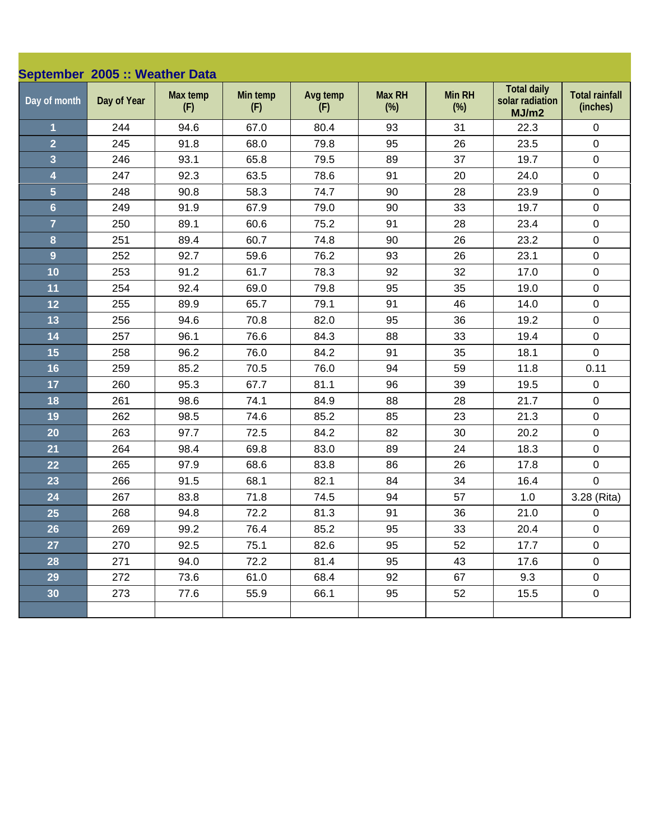| September 2005 :: Weather Data |             |                 |                 |                 |                      |                         |                                                |                                   |
|--------------------------------|-------------|-----------------|-----------------|-----------------|----------------------|-------------------------|------------------------------------------------|-----------------------------------|
| Day of month                   | Day of Year | Max temp<br>(F) | Min temp<br>(F) | Avg temp<br>(F) | <b>Max RH</b><br>(%) | <b>Min RH</b><br>$(\%)$ | <b>Total daily</b><br>solar radiation<br>MJ/m2 | <b>Total rainfall</b><br>(inches) |
| $\overline{1}$                 | 244         | 94.6            | 67.0            | 80.4            | 93                   | 31                      | 22.3                                           | $\mathbf 0$                       |
| $\overline{2}$                 | 245         | 91.8            | 68.0            | 79.8            | 95                   | 26                      | 23.5                                           | $\pmb{0}$                         |
| $\overline{\mathbf{3}}$        | 246         | 93.1            | 65.8            | 79.5            | 89                   | 37                      | 19.7                                           | $\pmb{0}$                         |
| $\overline{\mathbf{4}}$        | 247         | 92.3            | 63.5            | 78.6            | 91                   | 20                      | 24.0                                           | $\pmb{0}$                         |
| $\overline{5}$                 | 248         | 90.8            | 58.3            | 74.7            | 90                   | 28                      | 23.9                                           | $\pmb{0}$                         |
| $6\phantom{a}$                 | 249         | 91.9            | 67.9            | 79.0            | 90                   | 33                      | 19.7                                           | $\pmb{0}$                         |
| $\overline{7}$                 | 250         | 89.1            | 60.6            | 75.2            | 91                   | 28                      | 23.4                                           | $\pmb{0}$                         |
| 8                              | 251         | 89.4            | 60.7            | 74.8            | 90                   | 26                      | 23.2                                           | $\pmb{0}$                         |
| $\overline{9}$                 | 252         | 92.7            | 59.6            | 76.2            | 93                   | 26                      | 23.1                                           | $\mathbf 0$                       |
| 10                             | 253         | 91.2            | 61.7            | 78.3            | 92                   | 32                      | 17.0                                           | $\pmb{0}$                         |
| 11                             | 254         | 92.4            | 69.0            | 79.8            | 95                   | 35                      | 19.0                                           | $\pmb{0}$                         |
| 12                             | 255         | 89.9            | 65.7            | 79.1            | 91                   | 46                      | 14.0                                           | $\pmb{0}$                         |
| 13                             | 256         | 94.6            | 70.8            | 82.0            | 95                   | 36                      | 19.2                                           | $\pmb{0}$                         |
| 14                             | 257         | 96.1            | 76.6            | 84.3            | 88                   | 33                      | 19.4                                           | $\pmb{0}$                         |
| 15                             | 258         | 96.2            | 76.0            | 84.2            | 91                   | 35                      | 18.1                                           | $\mathbf 0$                       |
| 16                             | 259         | 85.2            | 70.5            | 76.0            | 94                   | 59                      | 11.8                                           | 0.11                              |
| 17                             | 260         | 95.3            | 67.7            | 81.1            | 96                   | 39                      | 19.5                                           | $\pmb{0}$                         |
| 18                             | 261         | 98.6            | 74.1            | 84.9            | 88                   | 28                      | 21.7                                           | $\pmb{0}$                         |
| 19                             | 262         | 98.5            | 74.6            | 85.2            | 85                   | 23                      | 21.3                                           | $\pmb{0}$                         |
| 20                             | 263         | 97.7            | 72.5            | 84.2            | 82                   | 30                      | 20.2                                           | $\pmb{0}$                         |
| 21                             | 264         | 98.4            | 69.8            | 83.0            | 89                   | 24                      | 18.3                                           | $\pmb{0}$                         |
| 22                             | 265         | 97.9            | 68.6            | 83.8            | 86                   | 26                      | 17.8                                           | $\pmb{0}$                         |
| 23                             | 266         | 91.5            | 68.1            | 82.1            | 84                   | 34                      | 16.4                                           | $\mathbf 0$                       |
| 24                             | 267         | 83.8            | 71.8            | 74.5            | 94                   | 57                      | 1.0                                            | 3.28 (Rita)                       |
| 25                             | 268         | 94.8            | 72.2            | 81.3            | 91                   | 36                      | 21.0                                           | 0                                 |
| 26                             | 269         | 99.2            | 76.4            | 85.2            | 95                   | 33                      | 20.4                                           | $\pmb{0}$                         |
| 27                             | 270         | 92.5            | 75.1            | 82.6            | 95                   | 52                      | 17.7                                           | $\mathbf 0$                       |
| 28                             | 271         | 94.0            | 72.2            | 81.4            | 95                   | 43                      | 17.6                                           | $\mathsf 0$                       |
| 29                             | 272         | 73.6            | 61.0            | 68.4            | 92                   | 67                      | 9.3                                            | $\mathbf 0$                       |
| 30                             | 273         | 77.6            | 55.9            | 66.1            | 95                   | 52                      | 15.5                                           | $\pmb{0}$                         |
|                                |             |                 |                 |                 |                      |                         |                                                |                                   |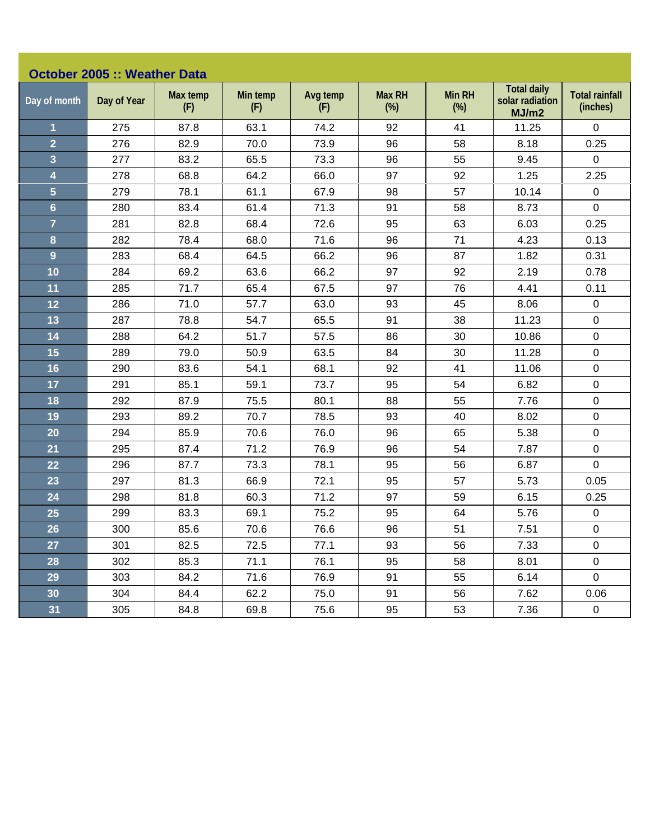|                         | <b>October 2005 :: Weather Data</b> |                 |                 |                 |                         |                         |                                                |                                   |  |  |
|-------------------------|-------------------------------------|-----------------|-----------------|-----------------|-------------------------|-------------------------|------------------------------------------------|-----------------------------------|--|--|
| Day of month            | Day of Year                         | Max temp<br>(F) | Min temp<br>(F) | Avg temp<br>(F) | <b>Max RH</b><br>$(\%)$ | <b>Min RH</b><br>$(\%)$ | <b>Total daily</b><br>solar radiation<br>MJ/m2 | <b>Total rainfall</b><br>(inches) |  |  |
| $\mathbf{1}$            | 275                                 | 87.8            | 63.1            | 74.2            | 92                      | 41                      | 11.25                                          | $\mathbf 0$                       |  |  |
| $\overline{2}$          | 276                                 | 82.9            | 70.0            | 73.9            | 96                      | 58                      | 8.18                                           | 0.25                              |  |  |
| $\overline{\mathbf{3}}$ | 277                                 | 83.2            | 65.5            | 73.3            | 96                      | 55                      | 9.45                                           | $\mathbf 0$                       |  |  |
| $\overline{\mathbf{4}}$ | 278                                 | 68.8            | 64.2            | 66.0            | 97                      | 92                      | 1.25                                           | 2.25                              |  |  |
| $\overline{5}$          | 279                                 | 78.1            | 61.1            | 67.9            | 98                      | 57                      | 10.14                                          | $\pmb{0}$                         |  |  |
| $6\phantom{a}$          | 280                                 | 83.4            | 61.4            | 71.3            | 91                      | 58                      | 8.73                                           | $\mathbf 0$                       |  |  |
| $\overline{7}$          | 281                                 | 82.8            | 68.4            | 72.6            | 95                      | 63                      | 6.03                                           | 0.25                              |  |  |
| 8                       | 282                                 | 78.4            | 68.0            | 71.6            | 96                      | 71                      | 4.23                                           | 0.13                              |  |  |
| $\overline{9}$          | 283                                 | 68.4            | 64.5            | 66.2            | 96                      | 87                      | 1.82                                           | 0.31                              |  |  |
| 10                      | 284                                 | 69.2            | 63.6            | 66.2            | 97                      | 92                      | 2.19                                           | 0.78                              |  |  |
| 11                      | 285                                 | 71.7            | 65.4            | 67.5            | 97                      | 76                      | 4.41                                           | 0.11                              |  |  |
| 12                      | 286                                 | 71.0            | 57.7            | 63.0            | 93                      | 45                      | 8.06                                           | $\pmb{0}$                         |  |  |
| 13                      | 287                                 | 78.8            | 54.7            | 65.5            | 91                      | 38                      | 11.23                                          | $\pmb{0}$                         |  |  |
| 14                      | 288                                 | 64.2            | 51.7            | 57.5            | 86                      | 30                      | 10.86                                          | $\pmb{0}$                         |  |  |
| 15                      | 289                                 | 79.0            | 50.9            | 63.5            | 84                      | 30                      | 11.28                                          | $\pmb{0}$                         |  |  |
| 16                      | 290                                 | 83.6            | 54.1            | 68.1            | 92                      | 41                      | 11.06                                          | $\pmb{0}$                         |  |  |
| 17                      | 291                                 | 85.1            | 59.1            | 73.7            | 95                      | 54                      | 6.82                                           | $\pmb{0}$                         |  |  |
| 18                      | 292                                 | 87.9            | 75.5            | 80.1            | 88                      | 55                      | 7.76                                           | $\pmb{0}$                         |  |  |
| 19                      | 293                                 | 89.2            | 70.7            | 78.5            | 93                      | 40                      | 8.02                                           | $\pmb{0}$                         |  |  |
| 20                      | 294                                 | 85.9            | 70.6            | 76.0            | 96                      | 65                      | 5.38                                           | $\mathbf 0$                       |  |  |
| 21                      | 295                                 | 87.4            | 71.2            | 76.9            | 96                      | 54                      | 7.87                                           | $\mathbf 0$                       |  |  |
| 22                      | 296                                 | 87.7            | 73.3            | 78.1            | 95                      | 56                      | 6.87                                           | $\mathbf 0$                       |  |  |
| 23                      | 297                                 | 81.3            | 66.9            | 72.1            | 95                      | 57                      | 5.73                                           | 0.05                              |  |  |
| 24                      | 298                                 | 81.8            | 60.3            | 71.2            | 97                      | 59                      | 6.15                                           | 0.25                              |  |  |
| 25                      | 299                                 | 83.3            | 69.1            | 75.2            | 95                      | 64                      | 5.76                                           | $\pmb{0}$                         |  |  |
| 26                      | 300                                 | 85.6            | 70.6            | 76.6            | 96                      | 51                      | 7.51                                           | $\pmb{0}$                         |  |  |
| 27                      | 301                                 | 82.5            | 72.5            | 77.1            | 93                      | 56                      | 7.33                                           | $\mathbf 0$                       |  |  |
| 28                      | 302                                 | 85.3            | 71.1            | 76.1            | 95                      | 58                      | 8.01                                           | $\pmb{0}$                         |  |  |
| 29                      | 303                                 | 84.2            | 71.6            | 76.9            | 91                      | 55                      | 6.14                                           | $\pmb{0}$                         |  |  |
| 30                      | 304                                 | 84.4            | 62.2            | 75.0            | 91                      | 56                      | 7.62                                           | 0.06                              |  |  |
| 31                      | 305                                 | 84.8            | 69.8            | 75.6            | 95                      | 53                      | 7.36                                           | $\pmb{0}$                         |  |  |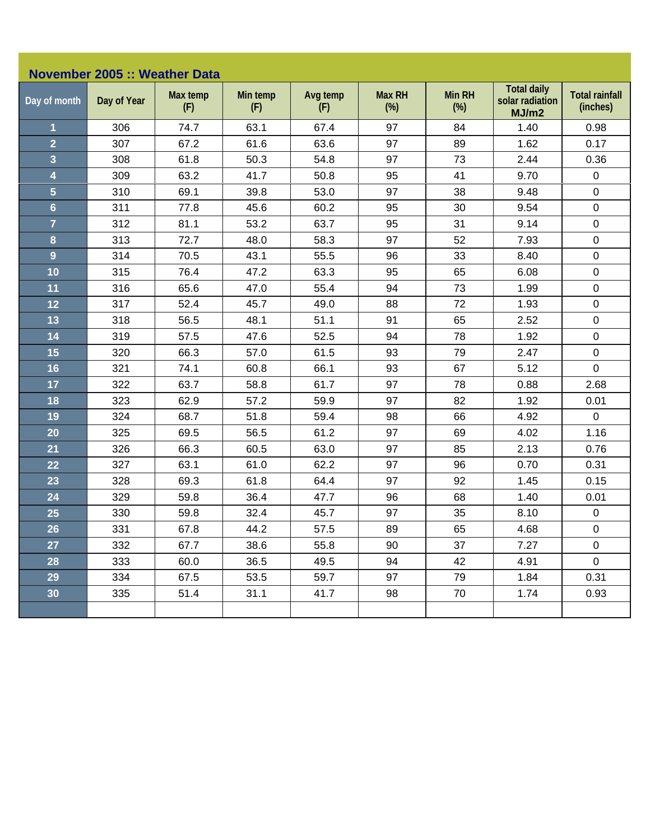| November 2005 :: Weather Data |             |                 |                 |                 |                         |                         |                                                |                                   |  |
|-------------------------------|-------------|-----------------|-----------------|-----------------|-------------------------|-------------------------|------------------------------------------------|-----------------------------------|--|
| Day of month                  | Day of Year | Max temp<br>(F) | Min temp<br>(F) | Avg temp<br>(F) | <b>Max RH</b><br>$(\%)$ | <b>Min RH</b><br>$(\%)$ | <b>Total daily</b><br>solar radiation<br>MJ/m2 | <b>Total rainfall</b><br>(inches) |  |
| $\mathbf{1}$                  | 306         | 74.7            | 63.1            | 67.4            | 97                      | 84                      | 1.40                                           | 0.98                              |  |
| $\overline{2}$                | 307         | 67.2            | 61.6            | 63.6            | 97                      | 89                      | 1.62                                           | 0.17                              |  |
| $\overline{\mathbf{3}}$       | 308         | 61.8            | 50.3            | 54.8            | 97                      | 73                      | 2.44                                           | 0.36                              |  |
| 4                             | 309         | 63.2            | 41.7            | 50.8            | 95                      | 41                      | 9.70                                           | $\pmb{0}$                         |  |
| $\overline{5}$                | 310         | 69.1            | 39.8            | 53.0            | 97                      | 38                      | 9.48                                           | $\mathbf 0$                       |  |
| $6\phantom{a}$                | 311         | 77.8            | 45.6            | 60.2            | 95                      | 30                      | 9.54                                           | $\pmb{0}$                         |  |
| $\overline{7}$                | 312         | 81.1            | 53.2            | 63.7            | 95                      | 31                      | 9.14                                           | $\pmb{0}$                         |  |
| 8                             | 313         | 72.7            | 48.0            | 58.3            | 97                      | 52                      | 7.93                                           | $\pmb{0}$                         |  |
| $\overline{9}$                | 314         | 70.5            | 43.1            | 55.5            | 96                      | 33                      | 8.40                                           | $\pmb{0}$                         |  |
| 10                            | 315         | 76.4            | 47.2            | 63.3            | 95                      | 65                      | 6.08                                           | $\pmb{0}$                         |  |
| 11                            | 316         | 65.6            | 47.0            | 55.4            | 94                      | 73                      | 1.99                                           | $\pmb{0}$                         |  |
| 12                            | 317         | 52.4            | 45.7            | 49.0            | 88                      | 72                      | 1.93                                           | $\pmb{0}$                         |  |
| 13                            | 318         | 56.5            | 48.1            | 51.1            | 91                      | 65                      | 2.52                                           | $\pmb{0}$                         |  |
| 14                            | 319         | 57.5            | 47.6            | 52.5            | 94                      | 78                      | 1.92                                           | $\pmb{0}$                         |  |
| 15                            | 320         | 66.3            | 57.0            | 61.5            | 93                      | 79                      | 2.47                                           | $\pmb{0}$                         |  |
| 16                            | 321         | 74.1            | 60.8            | 66.1            | 93                      | 67                      | 5.12                                           | $\mathbf 0$                       |  |
| 17                            | 322         | 63.7            | 58.8            | 61.7            | 97                      | 78                      | 0.88                                           | 2.68                              |  |
| 18                            | 323         | 62.9            | 57.2            | 59.9            | 97                      | 82                      | 1.92                                           | 0.01                              |  |
| 19                            | 324         | 68.7            | 51.8            | 59.4            | 98                      | 66                      | 4.92                                           | $\mathbf 0$                       |  |
| 20                            | 325         | 69.5            | 56.5            | 61.2            | 97                      | 69                      | 4.02                                           | 1.16                              |  |
| 21                            | 326         | 66.3            | 60.5            | 63.0            | 97                      | 85                      | 2.13                                           | 0.76                              |  |
| 22                            | 327         | 63.1            | 61.0            | 62.2            | 97                      | 96                      | 0.70                                           | 0.31                              |  |
| 23                            | 328         | 69.3            | 61.8            | 64.4            | 97                      | 92                      | 1.45                                           | 0.15                              |  |
| 24                            | 329         | 59.8            | 36.4            | 47.7            | 96                      | 68                      | 1.40                                           | 0.01                              |  |
| 25                            | 330         | 59.8            | 32.4            | 45.7            | 97                      | 35                      | 8.10                                           | $\pmb{0}$                         |  |
| 26                            | 331         | 67.8            | 44.2            | 57.5            | 89                      | 65                      | 4.68                                           | $\pmb{0}$                         |  |
| 27                            | 332         | 67.7            | 38.6            | 55.8            | 90                      | 37                      | 7.27                                           | $\mathbf 0$                       |  |
| 28                            | 333         | 60.0            | 36.5            | 49.5            | 94                      | 42                      | 4.91                                           | $\mathsf 0$                       |  |
| 29                            | 334         | 67.5            | 53.5            | 59.7            | 97                      | 79                      | 1.84                                           | 0.31                              |  |
| 30 <sub>o</sub>               | 335         | 51.4            | 31.1            | 41.7            | 98                      | 70                      | 1.74                                           | 0.93                              |  |
|                               |             |                 |                 |                 |                         |                         |                                                |                                   |  |